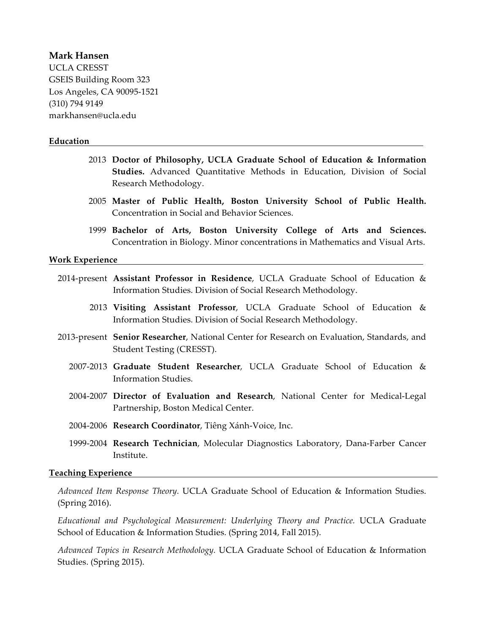### **Mark Hansen**

UCLA CRESST GSEIS Building Room 323 Los Angeles, CA 90095-1521 (310) 794 9149 markhansen@ucla.edu

#### **Education**

- 2013 **Doctor of Philosophy, UCLA Graduate School of Education & Information Studies.** Advanced Quantitative Methods in Education, Division of Social Research Methodology.
- 2005 **Master of Public Health, Boston University School of Public Health.** Concentration in Social and Behavior Sciences.
- 1999 **Bachelor of Arts, Boston University College of Arts and Sciences.**  Concentration in Biology. Minor concentrations in Mathematics and Visual Arts.

#### **Work Experience**

- 2014-present **Assistant Professor in Residence**, UCLA Graduate School of Education & Information Studies. Division of Social Research Methodology.
	- 2013 **Visiting Assistant Professor**, UCLA Graduate School of Education & Information Studies. Division of Social Research Methodology.
- 2013-present **Senior Researcher**, National Center for Research on Evaluation, Standards, and Student Testing (CRESST).
	- 2007-2013 **Graduate Student Researcher**, UCLA Graduate School of Education & Information Studies.
	- 2004-2007 **Director of Evaluation and Research**, National Center for Medical-Legal Partnership, Boston Medical Center.
	- 2004-2006 **Research Coordinator**, Tiêng Xánh-Voice, Inc.
	- 1999-2004 **Research Technician**, Molecular Diagnostics Laboratory, Dana-Farber Cancer Institute.

#### **Teaching Experience**

*Advanced Item Response Theory.* UCLA Graduate School of Education & Information Studies. (Spring 2016).

*Educational and Psychological Measurement: Underlying Theory and Practice.* UCLA Graduate School of Education & Information Studies. (Spring 2014, Fall 2015).

*Advanced Topics in Research Methodology.* UCLA Graduate School of Education & Information Studies. (Spring 2015).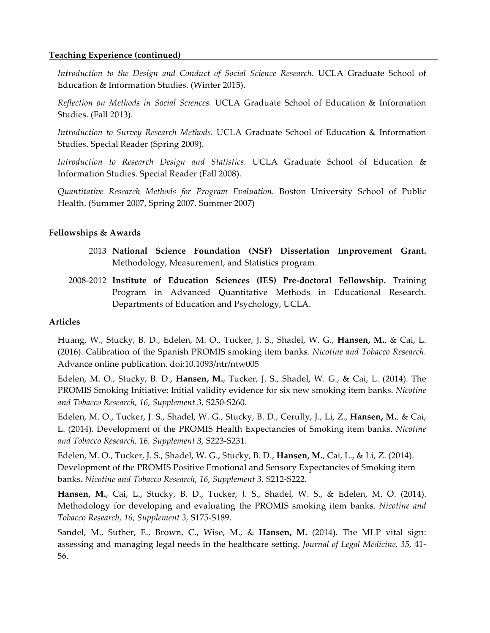### **Teaching Experience (continued)**

*Introduction to the Design and Conduct of Social Science Research.* UCLA Graduate School of Education & Information Studies. (Winter 2015).

*Reflection on Methods in Social Sciences.* UCLA Graduate School of Education & Information Studies. (Fall 2013).

*Introduction to Survey Research Methods.* UCLA Graduate School of Education & Information Studies. Special Reader (Spring 2009).

*Introduction to Research Design and Statistics.* UCLA Graduate School of Education & Information Studies. Special Reader (Fall 2008).

*Quantitative Research Methods for Program Evaluation.* Boston University School of Public Health. (Summer 2007, Spring 2007, Summer 2007)

#### **Fellowships & Awards**

- 2013 **National Science Foundation (NSF) Dissertation Improvement Grant.**  Methodology, Measurement, and Statistics program.
- 2008-2012 **Institute of Education Sciences (IES) Pre-doctoral Fellowship.** Training Program in Advanced Quantitative Methods in Educational Research. Departments of Education and Psychology, UCLA.

#### **Articles**

Huang, W., Stucky, B. D., Edelen, M. O., Tucker, J. S., Shadel, W. G., **Hansen, M.**, & Cai, L. (2016). Calibration of the Spanish PROMIS smoking item banks. *Nicotine and Tobacco Research.*  Advance online publication. doi:10.1093/ntr/ntw005

Edelen, M. O., Stucky, B. D., **Hansen, M.**, Tucker, J. S., Shadel, W. G., & Cai, L. (2014). The PROMIS Smoking Initiative: Initial validity evidence for six new smoking item banks. *Nicotine and Tobacco Research, 16, Supplement 3,* S250-S260.

Edelen, M. O., Tucker, J. S., Shadel, W. G., Stucky, B. D., Cerully, J., Li, Z., **Hansen, M.**, & Cai, L. (2014). Development of the PROMIS Health Expectancies of Smoking item banks. *Nicotine and Tobacco Research, 16, Supplement 3,* S223-S231.

Edelen, M. O., Tucker, J. S., Shadel, W. G., Stucky, B. D., **Hansen, M.**, Cai, L., & Li, Z. (2014). Development of the PROMIS Positive Emotional and Sensory Expectancies of Smoking item banks. *Nicotine and Tobacco Research, 16, Supplement 3,* S212-S222.

**Hansen, M.**, Cai, L., Stucky, B. D., Tucker, J. S., Shadel, W. S., & Edelen, M. O. (2014). Methodology for developing and evaluating the PROMIS smoking item banks. *Nicotine and Tobacco Research, 16, Supplement 3,* S175-S189.

Sandel, M., Suther, E., Brown, C., Wise, M., & **Hansen, M.** (2014). The MLP vital sign: assessing and managing legal needs in the healthcare setting. *Journal of Legal Medicine, 35,* 41- 56.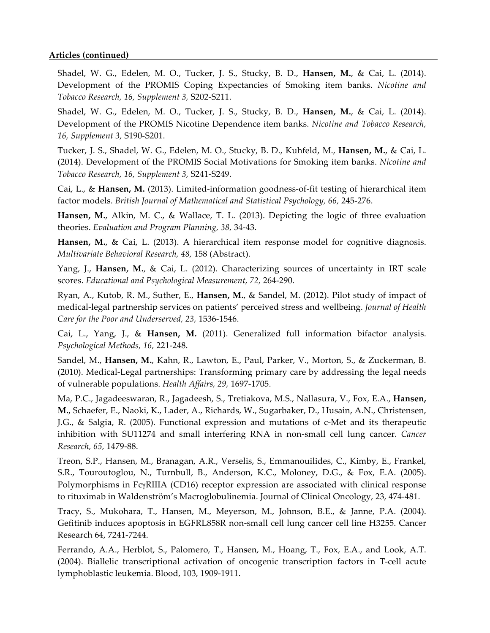### **Articles (continued)**

Shadel, W. G., Edelen, M. O., Tucker, J. S., Stucky, B. D., **Hansen, M.**, & Cai, L. (2014). Development of the PROMIS Coping Expectancies of Smoking item banks. *Nicotine and Tobacco Research, 16, Supplement 3,* S202-S211.

Shadel, W. G., Edelen, M. O., Tucker, J. S., Stucky, B. D., **Hansen, M.**, & Cai, L. (2014). Development of the PROMIS Nicotine Dependence item banks. *Nicotine and Tobacco Research, 16, Supplement 3,* S190-S201.

Tucker, J. S., Shadel, W. G., Edelen, M. O., Stucky, B. D., Kuhfeld, M., **Hansen, M.**, & Cai, L. (2014). Development of the PROMIS Social Motivations for Smoking item banks. *Nicotine and Tobacco Research, 16, Supplement 3,* S241-S249.

Cai, L., & **Hansen, M.** (2013). Limited-information goodness-of-fit testing of hierarchical item factor models. *British Journal of Mathematical and Statistical Psychology, 66,* 245-276.

**Hansen, M.**, Alkin, M. C., & Wallace, T. L. (2013). Depicting the logic of three evaluation theories. *Evaluation and Program Planning, 38,* 34-43.

Hansen, M., & Cai, L. (2013). A hierarchical item response model for cognitive diagnosis. *Multivariate Behavioral Research, 48,* 158 (Abstract).

Yang, J., **Hansen, M.**, & Cai, L. (2012). Characterizing sources of uncertainty in IRT scale scores. *Educational and Psychological Measurement, 72,* 264-290.

Ryan, A., Kutob, R. M., Suther, E., **Hansen, M.**, & Sandel, M. (2012). Pilot study of impact of medical-legal partnership services on patients' perceived stress and wellbeing. *Journal of Health Care for the Poor and Underserved, 23,* 1536-1546.

Cai, L., Yang, J., & **Hansen, M.** (2011). Generalized full information bifactor analysis. *Psychological Methods, 16,* 221-248.

Sandel, M., **Hansen, M.**, Kahn, R., Lawton, E., Paul, Parker, V., Morton, S., & Zuckerman, B. (2010). Medical-Legal partnerships: Transforming primary care by addressing the legal needs of vulnerable populations. *Health Affairs, 29,* 1697-1705.

Ma, P.C., Jagadeeswaran, R., Jagadeesh, S., Tretiakova, M.S., Nallasura, V., Fox, E.A., **Hansen, M.**, Schaefer, E., Naoki, K., Lader, A., Richards, W., Sugarbaker, D., Husain, A.N., Christensen, J.G., & Salgia, R. (2005). Functional expression and mutations of c-Met and its therapeutic inhibition with SU11274 and small interfering RNA in non-small cell lung cancer. *Cancer Research, 65,* 1479-88.

Treon, S.P., Hansen, M., Branagan, A.R., Verselis, S., Emmanouilides, C., Kimby, E., Frankel, S.R., Touroutoglou, N., Turnbull, B., Anderson, K.C., Moloney, D.G., & Fox, E.A. (2005). Polymorphisms in FcγRIIIA (CD16) receptor expression are associated with clinical response to rituximab in Waldenström's Macroglobulinemia. Journal of Clinical Oncology, 23, 474-481.

Tracy, S., Mukohara, T., Hansen, M., Meyerson, M., Johnson, B.E., & Janne, P.A. (2004). Gefitinib induces apoptosis in EGFRL858R non-small cell lung cancer cell line H3255. Cancer Research 64, 7241-7244.

Ferrando, A.A., Herblot, S., Palomero, T., Hansen, M., Hoang, T., Fox, E.A., and Look, A.T. (2004). Biallelic transcriptional activation of oncogenic transcription factors in T-cell acute lymphoblastic leukemia. Blood, 103, 1909-1911.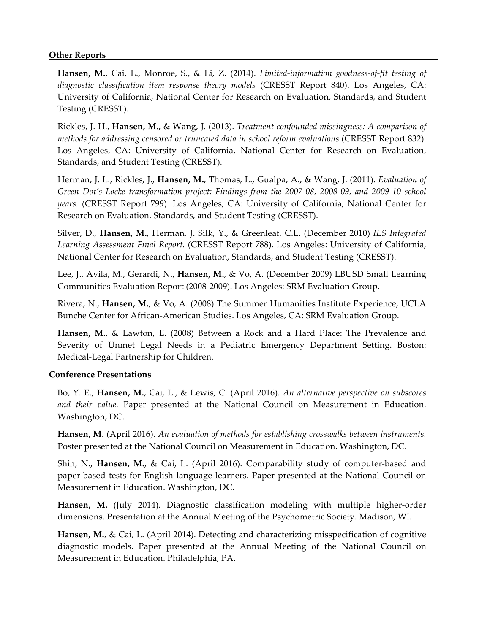# **Other Reports**

**Hansen, M.**, Cai, L., Monroe, S., & Li, Z. (2014). *Limited-information goodness-of-fit testing of diagnostic classification item response theory models* (CRESST Report 840). Los Angeles, CA: University of California, National Center for Research on Evaluation, Standards, and Student Testing (CRESST).

Rickles, J. H., **Hansen, M.**, & Wang, J. (2013). *Treatment confounded missingness: A comparison of methods for addressing censored or truncated data in school reform evaluations* (CRESST Report 832). Los Angeles, CA: University of California, National Center for Research on Evaluation, Standards, and Student Testing (CRESST).

Herman, J. L., Rickles, J., **Hansen, M.**, Thomas, L., Gualpa, A., & Wang, J. (2011). *Evaluation of Green Dot's Locke transformation project: Findings from the 2007-08, 2008-09, and 2009-10 school years.* (CRESST Report 799). Los Angeles, CA: University of California, National Center for Research on Evaluation, Standards, and Student Testing (CRESST).

Silver, D., **Hansen, M.**, Herman, J. Silk, Y., & Greenleaf, C.L. (December 2010) *IES Integrated Learning Assessment Final Report.* (CRESST Report 788). Los Angeles: University of California, National Center for Research on Evaluation, Standards, and Student Testing (CRESST).

Lee, J., Avila, M., Gerardi, N., **Hansen, M.**, & Vo, A. (December 2009) LBUSD Small Learning Communities Evaluation Report (2008-2009). Los Angeles: SRM Evaluation Group.

Rivera, N., **Hansen, M.**, & Vo, A. (2008) The Summer Humanities Institute Experience, UCLA Bunche Center for African-American Studies. Los Angeles, CA: SRM Evaluation Group.

**Hansen, M.**, & Lawton, E. (2008) Between a Rock and a Hard Place: The Prevalence and Severity of Unmet Legal Needs in a Pediatric Emergency Department Setting. Boston: Medical-Legal Partnership for Children.

#### **Conference Presentations**

Bo, Y. E., **Hansen, M.**, Cai, L., & Lewis, C. (April 2016). *An alternative perspective on subscores and their value.* Paper presented at the National Council on Measurement in Education. Washington, DC.

**Hansen, M.** (April 2016). *An evaluation of methods for establishing crosswalks between instruments.*  Poster presented at the National Council on Measurement in Education. Washington, DC.

Shin, N., **Hansen, M.**, & Cai, L. (April 2016). Comparability study of computer-based and paper-based tests for English language learners. Paper presented at the National Council on Measurement in Education. Washington, DC.

**Hansen, M.** (July 2014). Diagnostic classification modeling with multiple higher-order dimensions. Presentation at the Annual Meeting of the Psychometric Society. Madison, WI.

**Hansen, M.**, & Cai, L. (April 2014). Detecting and characterizing misspecification of cognitive diagnostic models. Paper presented at the Annual Meeting of the National Council on Measurement in Education. Philadelphia, PA.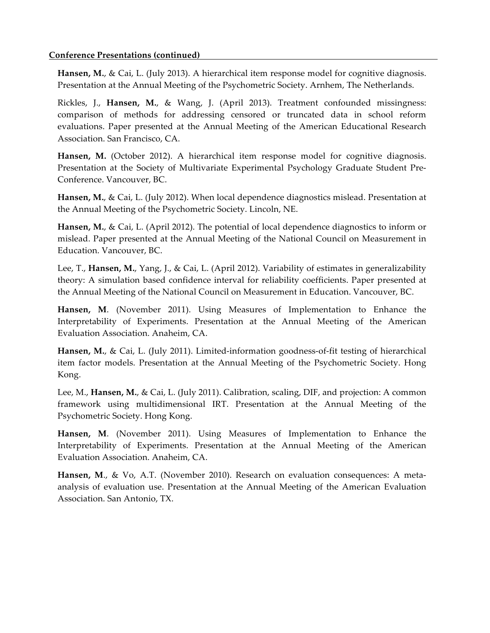# **Conference Presentations (continued)**

**Hansen, M.**, & Cai, L. (July 2013). A hierarchical item response model for cognitive diagnosis. Presentation at the Annual Meeting of the Psychometric Society. Arnhem, The Netherlands.

Rickles, J., **Hansen, M.**, & Wang, J. (April 2013). Treatment confounded missingness: comparison of methods for addressing censored or truncated data in school reform evaluations. Paper presented at the Annual Meeting of the American Educational Research Association. San Francisco, CA.

Hansen, M. (October 2012). A hierarchical item response model for cognitive diagnosis. Presentation at the Society of Multivariate Experimental Psychology Graduate Student Pre-Conference. Vancouver, BC.

**Hansen, M.**, & Cai, L. (July 2012). When local dependence diagnostics mislead. Presentation at the Annual Meeting of the Psychometric Society. Lincoln, NE.

**Hansen, M.**, & Cai, L. (April 2012). The potential of local dependence diagnostics to inform or mislead. Paper presented at the Annual Meeting of the National Council on Measurement in Education. Vancouver, BC.

Lee, T., **Hansen, M.**, Yang, J., & Cai, L. (April 2012). Variability of estimates in generalizability theory: A simulation based confidence interval for reliability coefficients. Paper presented at the Annual Meeting of the National Council on Measurement in Education. Vancouver, BC.

**Hansen, M**. (November 2011). Using Measures of Implementation to Enhance the Interpretability of Experiments. Presentation at the Annual Meeting of the American Evaluation Association. Anaheim, CA.

**Hansen, M.**, & Cai, L. (July 2011). Limited-information goodness-of-fit testing of hierarchical item factor models. Presentation at the Annual Meeting of the Psychometric Society. Hong Kong.

Lee, M., **Hansen, M.**, & Cai, L. (July 2011). Calibration, scaling, DIF, and projection: A common framework using multidimensional IRT. Presentation at the Annual Meeting of the Psychometric Society. Hong Kong.

**Hansen, M**. (November 2011). Using Measures of Implementation to Enhance the Interpretability of Experiments. Presentation at the Annual Meeting of the American Evaluation Association. Anaheim, CA.

**Hansen, M**., & Vo, A.T. (November 2010). Research on evaluation consequences: A metaanalysis of evaluation use. Presentation at the Annual Meeting of the American Evaluation Association. San Antonio, TX.